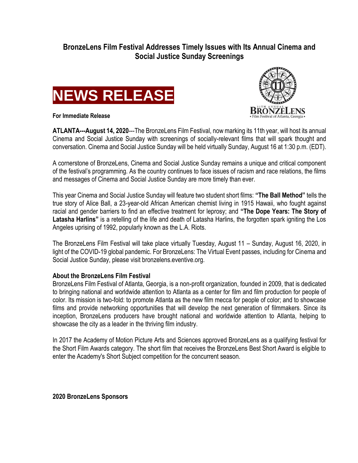## **BronzeLens Film Festival Addresses Timely Issues with Its Annual Cinema and Social Justice Sunday Screenings**







**ATLANTA---August 14, 2020**---The BronzeLens Film Festival, now marking its 11th year, will host its annual Cinema and Social Justice Sunday with screenings of socially-relevant films that will spark thought and conversation. Cinema and Social Justice Sunday will be held virtually Sunday, August 16 at 1:30 p.m. (EDT).

A cornerstone of BronzeLens, Cinema and Social Justice Sunday remains a unique and critical component of the festival's programming. As the country continues to face issues of racism and race relations, the films and messages of Cinema and Social Justice Sunday are more timely than ever.

This year Cinema and Social Justice Sunday will feature two student short films: **"The Ball Method"** tells the true story of Alice Ball, a 23-year-old African American chemist living in 1915 Hawaii, who fought against racial and gender barriers to find an effective treatment for leprosy; and **"The Dope Years: The Story of Latasha Harlins"** is a retelling of the life and death of Latasha Harlins, the forgotten spark igniting the Los Angeles uprising of 1992, popularly known as the L.A. Riots.

The BronzeLens Film Festival will take place virtually Tuesday, August 11 – Sunday, August 16, 2020, in light of the COVID-19 global pandemic. For BronzeLens: The Virtual Event passes, including for Cinema and Social Justice Sunday, please visit bronzelens.eventive.org.

## **About the BronzeLens Film Festival**

BronzeLens Film Festival of Atlanta, Georgia, is a non-profit organization, founded in 2009, that is dedicated to bringing national and worldwide attention to Atlanta as a center for film and film production for people of color. Its mission is two-fold: to promote Atlanta as the new film mecca for people of color; and to showcase films and provide networking opportunities that will develop the next generation of filmmakers. Since its inception, BronzeLens producers have brought national and worldwide attention to Atlanta, helping to showcase the city as a leader in the thriving film industry.

In 2017 the Academy of Motion Picture Arts and Sciences approved BronzeLens as a qualifying festival for the Short Film Awards category. The short film that receives the BronzeLens Best Short Award is eligible to enter the Academy's Short Subject competition for the concurrent season.

**2020 BronzeLens Sponsors**